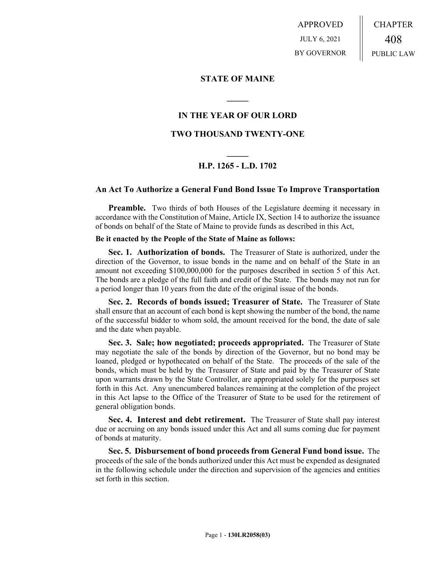APPROVED JULY 6, 2021 BY GOVERNOR CHAPTER 408 PUBLIC LAW

## **STATE OF MAINE**

## **IN THE YEAR OF OUR LORD**

**\_\_\_\_\_**

## **TWO THOUSAND TWENTY-ONE**

# **\_\_\_\_\_ H.P. 1265 - L.D. 1702**

### **An Act To Authorize a General Fund Bond Issue To Improve Transportation**

**Preamble.** Two thirds of both Houses of the Legislature deeming it necessary in accordance with the Constitution of Maine, Article IX, Section 14 to authorize the issuance of bonds on behalf of the State of Maine to provide funds as described in this Act,

#### **Be it enacted by the People of the State of Maine as follows:**

**Sec. 1. Authorization of bonds.** The Treasurer of State is authorized, under the direction of the Governor, to issue bonds in the name and on behalf of the State in an amount not exceeding \$100,000,000 for the purposes described in section 5 of this Act. The bonds are a pledge of the full faith and credit of the State. The bonds may not run for a period longer than 10 years from the date of the original issue of the bonds.

**Sec. 2. Records of bonds issued; Treasurer of State.** The Treasurer of State shall ensure that an account of each bond is kept showing the number of the bond, the name of the successful bidder to whom sold, the amount received for the bond, the date of sale and the date when payable.

**Sec. 3. Sale; how negotiated; proceeds appropriated.** The Treasurer of State may negotiate the sale of the bonds by direction of the Governor, but no bond may be loaned, pledged or hypothecated on behalf of the State. The proceeds of the sale of the bonds, which must be held by the Treasurer of State and paid by the Treasurer of State upon warrants drawn by the State Controller, are appropriated solely for the purposes set forth in this Act. Any unencumbered balances remaining at the completion of the project in this Act lapse to the Office of the Treasurer of State to be used for the retirement of general obligation bonds.

**Sec. 4. Interest and debt retirement.** The Treasurer of State shall pay interest due or accruing on any bonds issued under this Act and all sums coming due for payment of bonds at maturity.

**Sec. 5. Disbursement of bond proceeds from General Fund bond issue.** The proceeds of the sale of the bonds authorized under this Act must be expended as designated in the following schedule under the direction and supervision of the agencies and entities set forth in this section.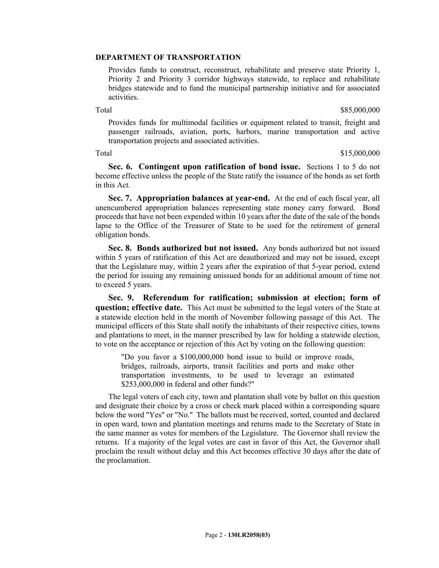### **DEPARTMENT OF TRANSPORTATION**

Provides funds to construct, reconstruct, rehabilitate and preserve state Priority 1, Priority 2 and Priority 3 corridor highways statewide, to replace and rehabilitate bridges statewide and to fund the municipal partnership initiative and for associated activities.

Total \$85,000,000 \$85,000,000 \$85,000,000 \$85,000,000 \$85,000,000 \$85,000,000 \$85,000,000 \$85,000,000 \$85,000

Provides funds for multimodal facilities or equipment related to transit, freight and passenger railroads, aviation, ports, harbors, marine transportation and active transportation projects and associated activities.

Total \$15,000,000 \$15,000,000 \$15,000 \$15,000 \$15,000 \$15,000 \$15,000 \$15,000 \$15,000 \$15,000 \$15,000 \$15,000 \$15,000 \$15,000 \$15,000 \$15,000 \$15,000 \$15,000 \$15,000 \$15,000 \$15,000 \$15,000 \$15,000 \$15,000 \$15,000 \$15,000

**Sec. 6. Contingent upon ratification of bond issue.** Sections 1 to 5 do not become effective unless the people of the State ratify the issuance of the bonds as set forth in this Act.

**Sec. 7. Appropriation balances at year-end.** At the end of each fiscal year, all unencumbered appropriation balances representing state money carry forward. Bond proceeds that have not been expended within 10 years after the date of the sale of the bonds lapse to the Office of the Treasurer of State to be used for the retirement of general obligation bonds.

**Sec. 8. Bonds authorized but not issued.** Any bonds authorized but not issued within 5 years of ratification of this Act are deauthorized and may not be issued, except that the Legislature may, within 2 years after the expiration of that 5-year period, extend the period for issuing any remaining unissued bonds for an additional amount of time not to exceed 5 years.

**Sec. 9. Referendum for ratification; submission at election; form of question; effective date.** This Act must be submitted to the legal voters of the State at a statewide election held in the month of November following passage of this Act. The municipal officers of this State shall notify the inhabitants of their respective cities, towns and plantations to meet, in the manner prescribed by law for holding a statewide election, to vote on the acceptance or rejection of this Act by voting on the following question:

"Do you favor a \$100,000,000 bond issue to build or improve roads, bridges, railroads, airports, transit facilities and ports and make other transportation investments, to be used to leverage an estimated \$253,000,000 in federal and other funds?"

The legal voters of each city, town and plantation shall vote by ballot on this question and designate their choice by a cross or check mark placed within a corresponding square below the word "Yes" or "No." The ballots must be received, sorted, counted and declared in open ward, town and plantation meetings and returns made to the Secretary of State in the same manner as votes for members of the Legislature. The Governor shall review the returns. If a majority of the legal votes are cast in favor of this Act, the Governor shall proclaim the result without delay and this Act becomes effective 30 days after the date of the proclamation.